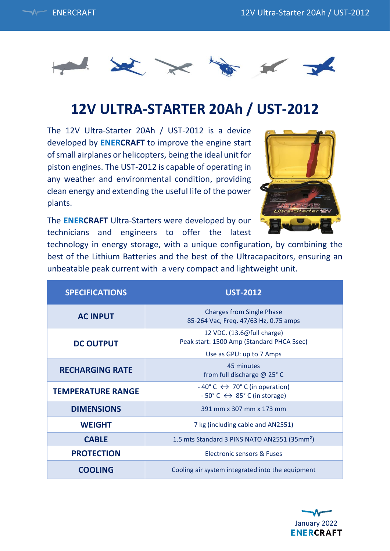



# **12V ULTRA-STARTER 20Ah / UST-2012**

The 12V Ultra-Starter 20Ah / UST-2012 is a device developed by **ENERCRAFT** to improve the engine start of small airplanes or helicopters, being the ideal unit for piston engines. The UST-2012 is capable of operating in any weather and environmental condition, providing clean energy and extending the useful life of the power plants.

The **ENERCRAFT** Ultra-Starters were developed by our technicians and engineers to offer the latest



technology in energy storage, with a unique configuration, by combining the best of the Lithium Batteries and the best of the Ultracapacitors, ensuring an unbeatable peak current with a very compact and lightweight unit.

| <b>SPECIFICATIONS</b>    | <b>UST-2012</b>                                                                                                                    |
|--------------------------|------------------------------------------------------------------------------------------------------------------------------------|
| <b>AC INPUT</b>          | <b>Charges from Single Phase</b><br>85-264 Vac, Freq. 47/63 Hz, 0.75 amps                                                          |
| <b>DC OUTPUT</b>         | 12 VDC. (13.6@full charge)<br>Peak start: 1500 Amp (Standard PHCA 5sec)                                                            |
|                          | Use as GPU: up to 7 Amps                                                                                                           |
| <b>RECHARGING RATE</b>   | 45 minutes<br>from full discharge @ 25°C                                                                                           |
| <b>TEMPERATURE RANGE</b> | $-40^{\circ}$ C $\leftrightarrow$ 70 $^{\circ}$ C (in operation)<br>$-50^{\circ}$ C $\leftrightarrow$ 85 $^{\circ}$ C (in storage) |
| <b>DIMENSIONS</b>        | 391 mm x 307 mm x 173 mm                                                                                                           |
| <b>WEIGHT</b>            | 7 kg (including cable and AN2551)                                                                                                  |
| <b>CABLE</b>             | 1.5 mts Standard 3 PINS NATO AN2551 (35mm <sup>2</sup> )                                                                           |
| <b>PROTECTION</b>        | Electronic sensors & Fuses                                                                                                         |
| <b>COOLING</b>           | Cooling air system integrated into the equipment                                                                                   |